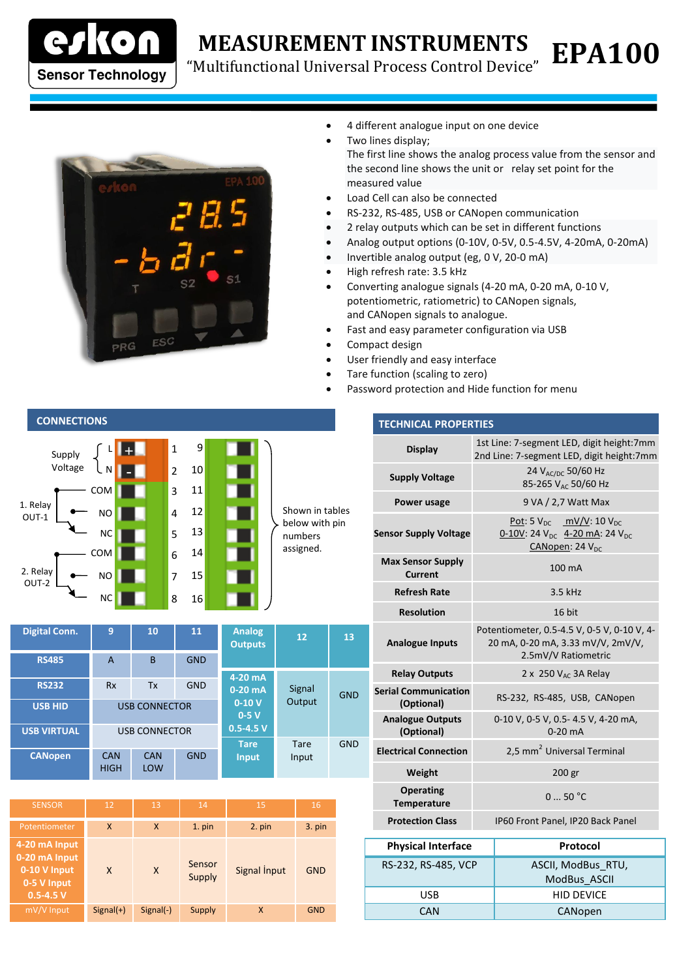

**CONNECTIONS**

## **MEASUREMENT INSTRUMENTS**

"Multifunctional Universal Process Control Device"



- 4 different analogue input on one device
- Two lines display; The first line shows the analog process value from the sensor and the second line shows the unit or relay set point for the measured value

**EPA100**

- Load Cell can also be connected
- RS-232, RS-485, USB or CANopen communication
- 2 relay outputs which can be set in different functions
- Analog output options (0-10V, 0-5V, 0.5-4.5V, 4-20mA, 0-20mA)
- Invertible analog output (eg, 0 V, 20-0 mA)
- High refresh rate: 3.5 kHz
- Converting analogue signals (4-20 mA, 0-20 mA, 0-10 V, potentiometric, ratiometric) to CANopen signals, and CANopen signals to analogue.
- Fast and easy parameter configuration via USB
- Compact design
- User friendly and easy interface
- Tare function (scaling to zero)
- Password protection and Hide function for menu

|                   | Supply<br>Voltage |           |  | $\mathbf{1}$   | 9  |  |                                   |
|-------------------|-------------------|-----------|--|----------------|----|--|-----------------------------------|
|                   |                   | Ν         |  | $\overline{2}$ | 10 |  |                                   |
| 1. Relay<br>OUT-1 |                   | COM       |  | 3              | 11 |  |                                   |
|                   |                   | <b>NO</b> |  | $\overline{4}$ | 12 |  | Shown in tables<br>below with pin |
|                   |                   | <b>NC</b> |  | 5              | 13 |  | numbers                           |
| 2. Relay<br>OUT-2 |                   | COM       |  | 6              | 14 |  | assigned.                         |
|                   |                   | <b>NO</b> |  | 7              | 15 |  |                                   |
|                   |                   | <b>NC</b> |  | 8              | 16 |  |                                   |

| <b>Digital Conn.</b> | 9                         | 10                | 11<br><b>Analog</b><br><b>Outputs</b> |                             | 12                   | 13         |   |
|----------------------|---------------------------|-------------------|---------------------------------------|-----------------------------|----------------------|------------|---|
| <b>RS485</b>         | A                         | B                 | <b>GND</b>                            |                             |                      |            |   |
| <b>RS232</b>         | <b>Rx</b>                 | Tx                | <b>GND</b>                            | 4-20 mA<br>$0-20$ mA        | Signal               | <b>GND</b> | S |
| <b>USB HID</b>       | <b>USB CONNECTOR</b>      |                   |                                       | $0-10V$<br>$0-5V$           | Output               |            |   |
| <b>USB VIRTUAL</b>   | <b>USB CONNECTOR</b>      |                   |                                       | $0.5 - 4.5 V$               |                      |            |   |
| <b>CANopen</b>       | <b>CAN</b><br><b>HIGH</b> | <b>CAN</b><br>LOW | <b>GND</b>                            | <b>Tare</b><br><b>Input</b> | <b>Tare</b><br>Input | <b>GND</b> |   |

| <b>SENSOR</b>                                                                  | 12          | 13          | 14               | 15           | 16         |
|--------------------------------------------------------------------------------|-------------|-------------|------------------|--------------|------------|
| Potentiometer                                                                  | X           | X           | $1.$ pin         | 2. pin       | 3. pin     |
| 4-20 mA Input<br>0-20 mA Input<br>0-10 V Input<br>0-5 V Input<br>$0.5 - 4.5 V$ | X           | X           | Sensor<br>Supply | Signal Input | <b>GND</b> |
| mV/V Input                                                                     | $Signal(+)$ | $Signal(-)$ | Supply           | X            | <b>GND</b> |

| <b>TECHNICAL PROPERTIES</b>                |                                                                                                                           |  |  |  |  |
|--------------------------------------------|---------------------------------------------------------------------------------------------------------------------------|--|--|--|--|
| <b>Display</b>                             | 1st Line: 7-segment LED, digit height:7mm<br>2nd Line: 7-segment LED, digit height:7mm                                    |  |  |  |  |
| <b>Supply Voltage</b>                      | 24 V <sub>AC/DC</sub> 50/60 Hz<br>85-265 V <sub>AC</sub> 50/60 Hz                                                         |  |  |  |  |
| Power usage                                | 9 VA / 2,7 Watt Max                                                                                                       |  |  |  |  |
| <b>Sensor Supply Voltage</b>               | Pot: 5 $V_{DC}$ mV/V: 10 $V_{DC}$<br>0-10V: 24 V <sub>DC</sub> 4-20 mA: 24 V <sub>DC</sub><br>CANopen: 24 V <sub>DC</sub> |  |  |  |  |
| <b>Max Sensor Supply</b><br><b>Current</b> | 100 mA                                                                                                                    |  |  |  |  |
| <b>Refresh Rate</b>                        | 3.5 kHz                                                                                                                   |  |  |  |  |
| <b>Resolution</b>                          | 16 bit                                                                                                                    |  |  |  |  |
| <b>Analogue Inputs</b>                     | Potentiometer, 0.5-4.5 V, 0-5 V, 0-10 V, 4-<br>20 mA, 0-20 mA, 3.33 mV/V, 2mV/V,<br>2.5mV/V Ratiometric                   |  |  |  |  |
| <b>Relay Outputs</b>                       | 2 x 250 $V_{AC}$ 3A Relay                                                                                                 |  |  |  |  |
| <b>Serial Communication</b><br>(Optional)  | RS-232, RS-485, USB, CANopen                                                                                              |  |  |  |  |
| <b>Analogue Outputs</b><br>(Optional)      | 0-10 V, 0-5 V, 0.5- 4.5 V, 4-20 mA,<br>$0-20$ mA                                                                          |  |  |  |  |
| <b>Electrical Connection</b>               | 2,5 mm <sup>2</sup> Universal Terminal                                                                                    |  |  |  |  |
| Weight                                     | 200 gr                                                                                                                    |  |  |  |  |
| <b>Operating</b><br><b>Temperature</b>     | 050 °C                                                                                                                    |  |  |  |  |
| <b>Protection Class</b>                    | IP60 Front Panel, IP20 Back Panel                                                                                         |  |  |  |  |
| <b>Physical Interface</b>                  | Protocol                                                                                                                  |  |  |  |  |

| <b>Physical Interface</b> | Protocol           |
|---------------------------|--------------------|
| RS-232, RS-485, VCP       | ASCII, ModBus RTU, |
|                           | ModBus ASCII       |
| USB                       | <b>HID DEVICE</b>  |
| CAN                       | CANopen            |